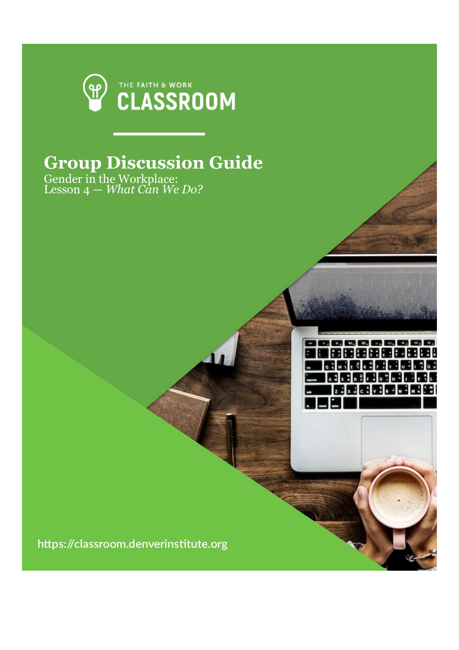

## **Group Discussion Guide**

,,,,,,,,,,,,, |新田東第千尾田田|| **WIRE REFERENCE MERCHANGER** 医网象无尾性风暴

Gender in the Workplace: Lesson 4 — *What Can We Do?*